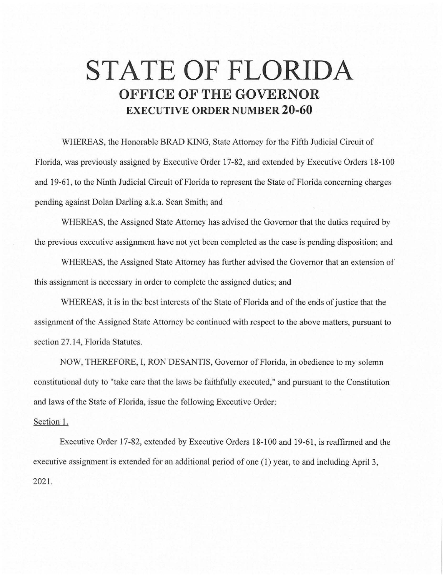## **STATE OF FLORIDA OFFICE OF THE GOVERNOR EXECUTIVE ORDER NUMBER 20-60**

WHEREAS, the Honorable BRAD KING, State Attorney for the Fifth Judicial Circuit of Florida, was previously assigned by Executive Order 17-82, and extended by Executive Orders 18-100 and 19-61, to the Ninth Judicial Circuit of Florida to represent the State of Florida concerning charges pending against Dolan Darling a.k.a. Sean Smith; and

WHEREAS, the Assigned State Attorney has advised the Governor that the duties required by the previous executive assignment have not yet been completed as the case is pending disposition; and

WHEREAS, the Assigned State Attorney has further advised the Governor that an extension of this assignment is necessary in order to complete the assigned duties; and

WHEREAS, it is in the best interests of the State of Florida and of the ends of justice that the assignment of the Assigned State Attorney be continued with respect to the above matters, pursuant to section 27.14, Florida Statutes.

NOW, THEREFORE, I, RON DESANTIS, Governor of Florida, in obedience to my solemn constitutional duty to "take care that the laws be faithfully executed," and pursuant to the Constitution and laws of the State of Florida, issue the following Executive Order:

## Section 1.

Executive Order 17-82, extended by Executive Orders 18-100 and 19-61 , is reaffirmed and the executive assignment is extended for an additional period of one (1) year, to and including April 3, 2021.